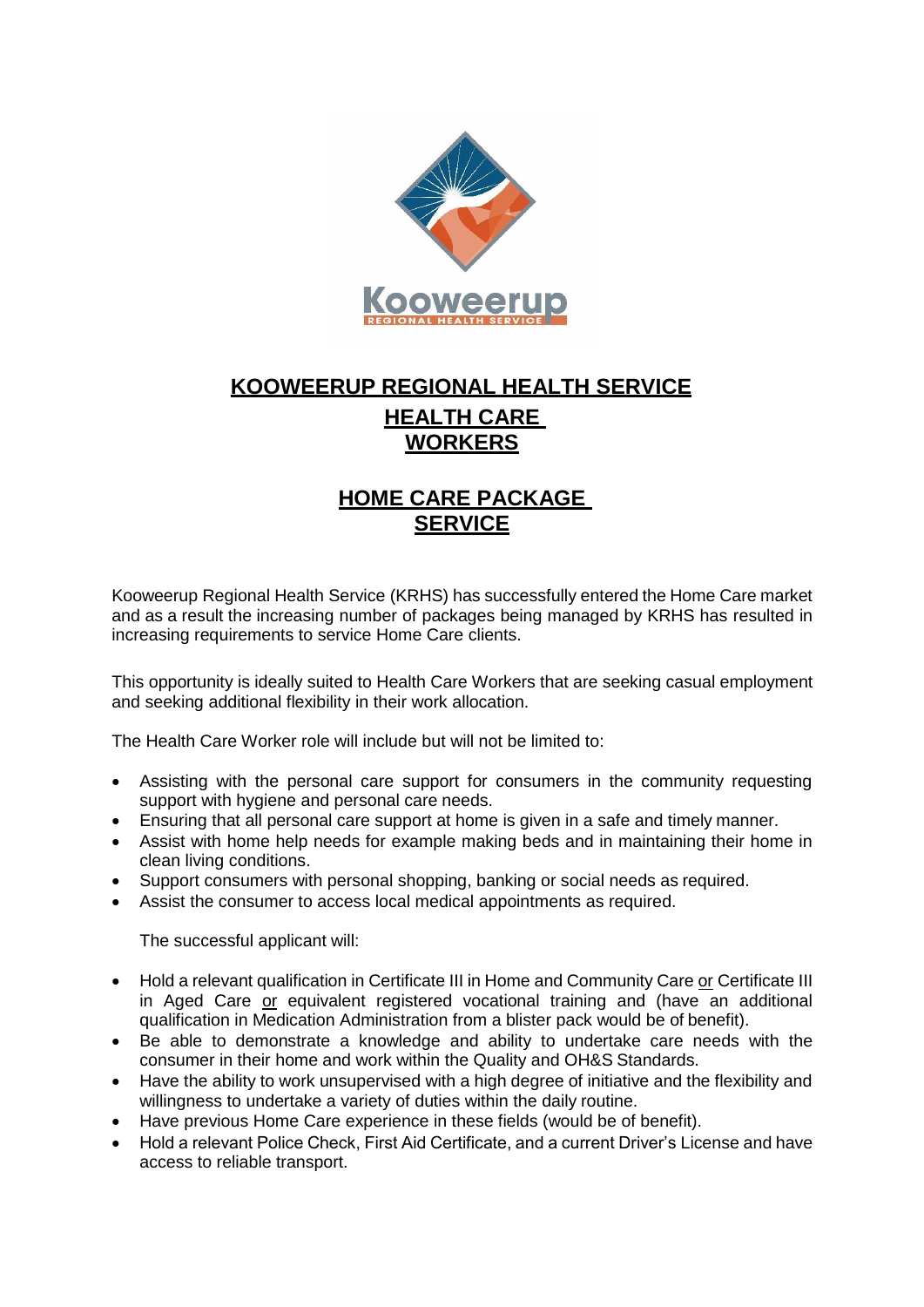

## **KOOWEERUP REGIONAL HEALTH SERVICE HEALTH CARE WORKERS**

## **HOME CARE PACKAGE SERVICE**

Kooweerup Regional Health Service (KRHS) has successfully entered the Home Care market and as a result the increasing number of packages being managed by KRHS has resulted in increasing requirements to service Home Care clients.

This opportunity is ideally suited to Health Care Workers that are seeking casual employment and seeking additional flexibility in their work allocation.

The Health Care Worker role will include but will not be limited to:

- Assisting with the personal care support for consumers in the community requesting support with hygiene and personal care needs.
- Ensuring that all personal care support at home is given in a safe and timely manner.
- Assist with home help needs for example making beds and in maintaining their home in clean living conditions.
- Support consumers with personal shopping, banking or social needs as required.
- Assist the consumer to access local medical appointments as required.

The successful applicant will:

- Hold a relevant qualification in Certificate III in Home and Community Care or Certificate III in Aged Care or equivalent registered vocational training and (have an additional qualification in Medication Administration from a blister pack would be of benefit).
- Be able to demonstrate a knowledge and ability to undertake care needs with the consumer in their home and work within the Quality and OH&S Standards.
- Have the ability to work unsupervised with a high degree of initiative and the flexibility and willingness to undertake a variety of duties within the daily routine.
- Have previous Home Care experience in these fields (would be of benefit).
- Hold a relevant Police Check, First Aid Certificate, and a current Driver's License and have access to reliable transport.